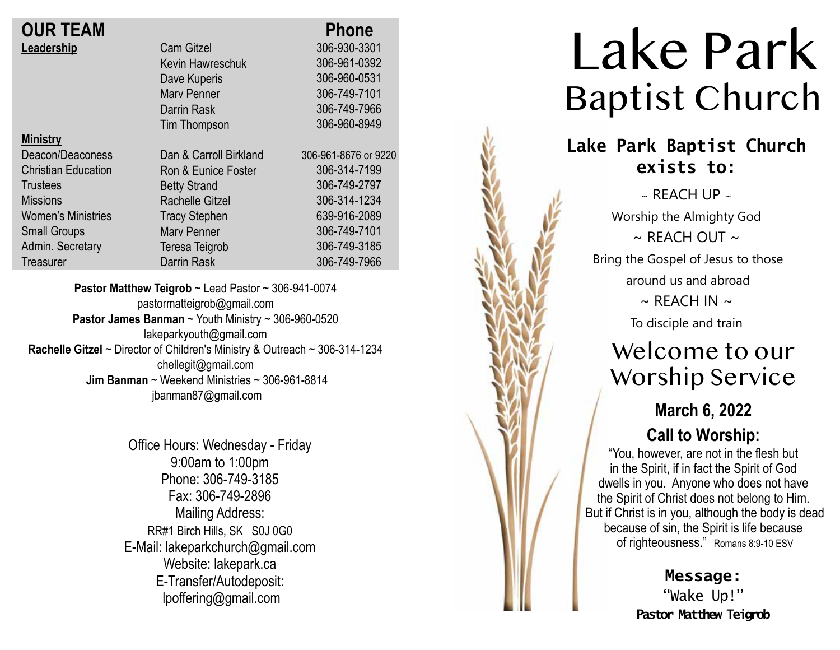| <b>OUR TEAM</b>            |                        |   |
|----------------------------|------------------------|---|
| Leadership                 | <b>Cam Gitzel</b>      |   |
|                            | Kevin Hawreschuk       |   |
|                            | Dave Kuperis           |   |
|                            | <b>Mary Penner</b>     |   |
|                            | Darrin Rask            |   |
|                            | Tim Thompson           |   |
| <b>Ministry</b>            |                        |   |
| Deacon/Deaconess           | Dan & Carroll Birkland | 3 |
| <b>Christian Education</b> | Ron & Eunice Foster    |   |
| <b>Trustees</b>            | <b>Betty Strand</b>    |   |
| <b>Missions</b>            | Rachelle Gitzel        |   |
| <b>Women's Ministries</b>  | <b>Tracy Stephen</b>   |   |
| <b>Small Groups</b>        | Mary Penner            |   |
| Admin. Secretary           | Teresa Teigrob         |   |

**Treasurer** 

306-960-0531 306-749-7101 306-749-7966 306-960-8949 306-961-8676 or 9220 306-314-7199 306-749-2797 306-314-1234 639-916-2089 306-749-7101 306-749-3185 306-749-7966

 **Phone** 306-930-3301 306-961-0392

**Pastor Matthew Teigrob** ~ Lead Pastor ~ 306-941-0074 pastormatteigrob@gmail.com **Pastor James Banman** ~ Youth Ministry ~ 306-960-0520 lakeparkyouth@gmail.com **Rachelle Gitzel** ~ Director of Children's Ministry & Outreach ~ 306-314-1234 chellegit@gmail.com  **Jim Banman** ~ Weekend Ministries ~ 306-961-8814 jbanman87@gmail.com

Darrin Rask

Office Hours: Wednesday - Friday 9:00am to 1:00pm Phone: 306-749-3185 Fax: 306-749-2896 Mailing Address: RR#1 Birch Hills, SK S0J 0G0 E-Mail: lakeparkchurch@gmail.com Website: lakepark.ca E-Transfer/Autodeposit: lpoffering@gmail.com